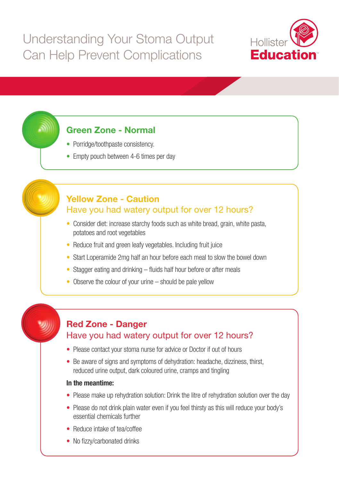

# **Green Zone - Normal**

- Porridge/toothpaste consistency.
- Empty pouch between 4-6 times per day

#### **Yellow Zone - Caution** Have you had watery output for over 12 hours?

- Consider diet: increase starchy foods such as white bread, grain, white pasta, potatoes and root vegetables
- Reduce fruit and green leafy vegetables. Including fruit juice
- Start Loperamide 2mg half an hour before each meal to slow the bowel down
- Stagger eating and drinking fluids half hour before or after meals
- Observe the colour of your urine should be pale yellow



#### **Red Zone - Danger** Have you had watery output for over 12 hours?

- Please contact your stoma nurse for advice or Doctor if out of hours
- Be aware of signs and symptoms of dehydration: headache, dizziness, thirst, reduced urine output, dark coloured urine, cramps and tingling

#### **In the meantime:**

- Please make up rehydration solution: Drink the litre of rehydration solution over the day
- Please do not drink plain water even if you feel thirsty as this will reduce your body's essential chemicals further
- Reduce intake of tea/coffee
- No fizzy/carbonated drinks